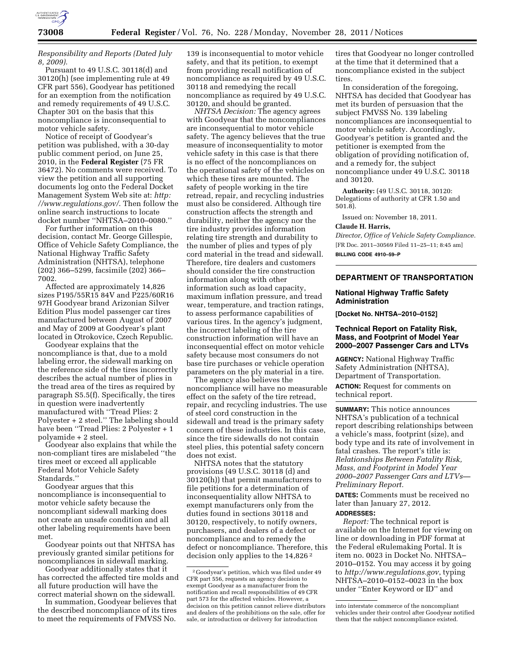

*Responsibility and Reports (Dated July 8, 2009).* 

Pursuant to 49 U.S.C. 30118(d) and 30120(h) (see implementing rule at 49 CFR part 556), Goodyear has petitioned for an exemption from the notification and remedy requirements of 49 U.S.C. Chapter 301 on the basis that this noncompliance is inconsequential to motor vehicle safety.

Notice of receipt of Goodyear's petition was published, with a 30-day public comment period, on June 25, 2010, in the **Federal Register** (75 FR 36472). No comments were received. To view the petition and all supporting documents log onto the Federal Docket Management System Web site at: *http: /[/www.regulations.gov/](http://www.regulations.gov)*. Then follow the online search instructions to locate docket number ''NHTSA–2010–0080.''

For further information on this decision, contact Mr. George Gillespie, Office of Vehicle Safety Compliance, the National Highway Traffic Safety Administration (NHTSA), telephone (202) 366–5299, facsimile (202) 366– 7002.

Affected are approximately 14,826 sizes P195/55R15 84V and P225/60R16 97H Goodyear brand Arizonian Silver Edition Plus model passenger car tires manufactured between August of 2007 and May of 2009 at Goodyear's plant located in Otrokovice, Czech Republic.

Goodyear explains that the noncompliance is that, due to a mold labeling error, the sidewall marking on the reference side of the tires incorrectly describes the actual number of plies in the tread area of the tires as required by paragraph S5.5(f). Specifically, the tires in question were inadvertently manufactured with ''Tread Plies: 2 Polyester + 2 steel.'' The labeling should have been ''Tread Plies: 2 Polyester + 1 polyamide + 2 steel.

Goodyear also explains that while the non-compliant tires are mislabeled ''the tires meet or exceed all applicable Federal Motor Vehicle Safety Standards.''

Goodyear argues that this noncompliance is inconsequential to motor vehicle safety because the noncompliant sidewall marking does not create an unsafe condition and all other labeling requirements have been met.

Goodyear points out that NHTSA has previously granted similar petitions for noncompliances in sidewall marking.

Goodyear additionally states that it has corrected the affected tire molds and all future production will have the correct material shown on the sidewall.

In summation, Goodyear believes that the described noncompliance of its tires to meet the requirements of FMVSS No.

139 is inconsequential to motor vehicle safety, and that its petition, to exempt from providing recall notification of noncompliance as required by 49 U.S.C. 30118 and remedying the recall noncompliance as required by 49 U.S.C. 30120, and should be granted.

*NHTSA Decision:* The agency agrees with Goodyear that the noncompliances are inconsequential to motor vehicle safety. The agency believes that the true measure of inconsequentiality to motor vehicle safety in this case is that there is no effect of the noncompliances on the operational safety of the vehicles on which these tires are mounted. The safety of people working in the tire retread, repair, and recycling industries must also be considered. Although tire construction affects the strength and durability, neither the agency nor the tire industry provides information relating tire strength and durability to the number of plies and types of ply cord material in the tread and sidewall. Therefore, tire dealers and customers should consider the tire construction information along with other information such as load capacity, maximum inflation pressure, and tread wear, temperature, and traction ratings, to assess performance capabilities of various tires. In the agency's judgment, the incorrect labeling of the tire construction information will have an inconsequential effect on motor vehicle safety because most consumers do not base tire purchases or vehicle operation parameters on the ply material in a tire.

The agency also believes the noncompliance will have no measurable effect on the safety of the tire retread, repair, and recycling industries. The use of steel cord construction in the sidewall and tread is the primary safety concern of these industries. In this case, since the tire sidewalls do not contain steel plies, this potential safety concern does not exist.

NHTSA notes that the statutory provisions (49 U.S.C. 30118 (d) and 30120(h)) that permit manufacturers to file petitions for a determination of inconsequentiality allow NHTSA to exempt manufacturers only from the duties found in sections 30118 and 30120, respectively, to notify owners, purchasers, and dealers of a defect or noncompliance and to remedy the defect or noncompliance. Therefore, this decision only applies to the 14,826 2

tires that Goodyear no longer controlled at the time that it determined that a noncompliance existed in the subject tires.

In consideration of the foregoing, NHTSA has decided that Goodyear has met its burden of persuasion that the subject FMVSS No. 139 labeling noncompliances are inconsequential to motor vehicle safety. Accordingly, Goodyear's petition is granted and the petitioner is exempted from the obligation of providing notification of, and a remedy for, the subject noncompliance under 49 U.S.C. 30118 and 30120.

**Authority:** (49 U.S.C. 30118, 30120: Delegations of authority at CFR 1.50 and 501.8).

Issued on: November 18, 2011.

#### **Claude H. Harris,**

*Director, Office of Vehicle Safety Compliance.*  [FR Doc. 2011–30569 Filed 11–25–11; 8:45 am] **BILLING CODE 4910–59–P** 

# **DEPARTMENT OF TRANSPORTATION**

#### **National Highway Traffic Safety Administration**

**[Docket No. NHTSA–2010–0152]** 

## **Technical Report on Fatality Risk, Mass, and Footprint of Model Year 2000–2007 Passenger Cars and LTVs**

**AGENCY:** National Highway Traffic Safety Administration (NHTSA), Department of Transportation.

**ACTION:** Request for comments on technical report.

**SUMMARY:** This notice announces NHTSA's publication of a technical report describing relationships between a vehicle's mass, footprint (size), and body type and its rate of involvement in fatal crashes. The report's title is: *Relationships Between Fatality Risk, Mass, and Footprint in Model Year 2000–2007 Passenger Cars and LTVs— Preliminary Report.* 

**DATES:** Comments must be received no later than January 27, 2012.

# **ADDRESSES:**

*Report:* The technical report is available on the Internet for viewing on line or downloading in PDF format at the Federal eRulemaking Portal. It is item no. 0023 in Docket No. NHTSA– 2010–0152. You may access it by going to *<http://www.regulations.gov>*, typing NHTSA–2010–0152–0023 in the box under ''Enter Keyword or ID'' and

<sup>2</sup> Goodyear's petition, which was filed under 49 CFR part 556, requests an agency decision to exempt Goodyear as a manufacturer from the notification and recall responsibilities of 49 CFR part 573 for the affected vehicles. However, a decision on this petition cannot relieve distributors and dealers of the prohibitions on the sale, offer for sale, or introduction or delivery for introduction

into interstate commerce of the noncompliant vehicles under their control after Goodyear notified them that the subject noncompliance existed.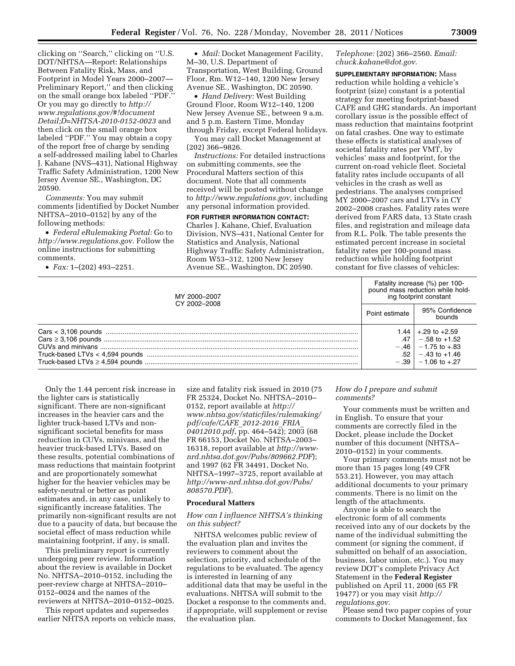clicking on ''Search,'' clicking on ''U.S. DOT/NHTSA—Report: Relationships Between Fatality Risk, Mass, and Footprint in Model Years 2000–2007— Preliminary Report,'' and then clicking on the small orange box labeled ''PDF.'' Or you may go directly to *[http://](http://www.regulations.gov/#!documentDetail;D=NHTSA-2010-0152-0023) [www.regulations.gov/#!document](http://www.regulations.gov/#!documentDetail;D=NHTSA-2010-0152-0023) [Detail;D=NHTSA-2010-0152-0023](http://www.regulations.gov/#!documentDetail;D=NHTSA-2010-0152-0023)* and then click on the small orange box labeled ''PDF.'' You may obtain a copy of the report free of charge by sending a self-addressed mailing label to Charles J. Kahane (NVS–431), National Highway Traffic Safety Administration, 1200 New Jersey Avenue SE., Washington, DC 20590.

*Comments:* You may submit comments [identified by Docket Number NHTSA–2010–0152] by any of the following methods:

• *Federal eRulemaking Portal:* Go to *<http://www.regulations.gov>*. Follow the online instructions for submitting comments.

• *Fax:* 1–(202) 493–2251.

• *Mail:* Docket Management Facility, M–30, U.S. Department of Transportation, West Building, Ground Floor, Rm. W12–140, 1200 New Jersey Avenue SE., Washington, DC 20590.

• *Hand Delivery:* West Building Ground Floor, Room W12–140, 1200 New Jersey Avenue SE., between 9 a.m. and 5 p.m. Eastern Time, Monday through Friday, except Federal holidays.

You may call Docket Management at (202) 366–9826.

*Instructions:* For detailed instructions on submitting comments, see the Procedural Matters section of this document. Note that all comments received will be posted without change to *[http://www.regulations.gov,](http://www.regulations.gov)* including any personal information provided.

**FOR FURTHER INFORMATION CONTACT:**  Charles J. Kahane, Chief, Evaluation Division, NVS–431, National Center for Statistics and Analysis, National Highway Traffic Safety Administration, Room W53–312, 1200 New Jersey Avenue SE., Washington, DC 20590.

*Telephone:* (202) 366–2560. *Email: [chuck.kahane@dot.gov](mailto:chuck.kahane@dot.gov)*.

**SUPPLEMENTARY INFORMATION:** Mass reduction while holding a vehicle's footprint (size) constant is a potential strategy for meeting footprint-based CAFE and GHG standards. An important corollary issue is the possible effect of mass reduction that maintains footprint on fatal crashes. One way to estimate these effects is statistical analyses of societal fatality rates per VMT, by vehicles' mass and footprint, for the current on-road vehicle fleet. Societal fatality rates include occupants of all vehicles in the crash as well as pedestrians. The analyses comprised MY 2000–2007 cars and LTVs in CY 2002–2008 crashes. Fatality rates were derived from FARS data, 13 State crash files, and registration and mileage data from R.L. Polk. The table presents the estimated percent increase in societal fatality rates per 100-pound mass reduction while holding footprint constant for five classes of vehicles:

| MY 2000-2007<br>CY 2002-2008 | Fatality increase (%) per 100-<br>pound mass reduction while hold-<br>ing footprint constant |                                                                                                                |
|------------------------------|----------------------------------------------------------------------------------------------|----------------------------------------------------------------------------------------------------------------|
|                              | Point estimate                                                                               | 95% Confidence<br>bounds                                                                                       |
|                              | 1.44  <br>.47  <br>$-.46$<br>.52                                                             | $+.29$ to $+2.59$<br>$-.58$ to $+1.52$<br>$-1.75$ to $+.83$<br>$-.43$ to $+1.46$<br>$-.39$   $-1.06$ to $+.27$ |

Only the 1.44 percent risk increase in the lighter cars is statistically significant. There are non-significant increases in the heavier cars and the lighter truck-based LTVs and nonsignificant societal benefits for mass reduction in CUVs, minivans, and the heavier truck-based LTVs. Based on these results, potential combinations of mass reductions that maintain footprint and are proportionately somewhat higher for the heavier vehicles may be safety-neutral or better as point estimates and, in any case, unlikely to significantly increase fatalities. The primarily non-significant results are not due to a paucity of data, but because the societal effect of mass reduction while maintaining footprint, if any, is small.

This preliminary report is currently undergoing peer review. Information about the review is available in Docket No. NHTSA–2010–0152, including the peer-review charge at NHTSA–2010– 0152–0024 and the names of the reviewers at NHTSA–2010–0152–0025.

This report updates and supersedes earlier NHTSA reports on vehicle mass,

size and fatality risk issued in 2010 (75 FR 25324, Docket No. NHTSA–2010– 0152, report available at *[http://](http://www.nhtsa.gov/staticfiles/rulemaking/pdf/cafe/CAFE_2012-2016_FRIA_04012010.pdf) [www.nhtsa.gov/staticfiles/rulemaking/](http://www.nhtsa.gov/staticfiles/rulemaking/pdf/cafe/CAFE_2012-2016_FRIA_04012010.pdf) [pdf/cafe/CAFE](http://www.nhtsa.gov/staticfiles/rulemaking/pdf/cafe/CAFE_2012-2016_FRIA_04012010.pdf)*\_*2012-2016*\_*FRIA*\_ *[04012010.pdf](http://www.nhtsa.gov/staticfiles/rulemaking/pdf/cafe/CAFE_2012-2016_FRIA_04012010.pdf)*, pp. 464–542); 2003 (68 FR 66153, Docket No. NHTSA–2003– 16318, report available at *[http://www](http://www-nrd.nhtsa.dot.gov/Pubs/809662.PDF)[nrd.nhtsa.dot.gov/Pubs/809662.PDF](http://www-nrd.nhtsa.dot.gov/Pubs/809662.PDF)*); and 1997 (62 FR 34491, Docket No. NHTSA–1997–3725, report available at *[http://www-nrd.nhtsa.dot.gov/Pubs/](http://www-nrd.nhtsa.dot.gov/Pubs/808570.PDF) [808570.PDF](http://www-nrd.nhtsa.dot.gov/Pubs/808570.PDF)*).

#### **Procedural Matters**

#### *How can I influence NHTSA's thinking on this subject?*

NHTSA welcomes public review of the evaluation plan and invites the reviewers to comment about the selection, priority, and schedule of the regulations to be evaluated. The agency is interested in learning of any additional data that may be useful in the evaluations. NHTSA will submit to the Docket a response to the comments and, if appropriate, will supplement or revise the evaluation plan.

## *How do I prepare and submit comments?*

Your comments must be written and in English. To ensure that your comments are correctly filed in the Docket, please include the Docket number of this document (NHTSA– 2010–0152) in your comments.

Your primary comments must not be more than 15 pages long (49 CFR 553.21). However, you may attach additional documents to your primary comments. There is no limit on the length of the attachments.

Anyone is able to search the electronic form of all comments received into any of our dockets by the name of the individual submitting the comment (or signing the comment, if submitted on behalf of an association, business, labor union, etc.). You may review DOT's complete Privacy Act Statement in the **Federal Register**  published on April 11, 2000 (65 FR 19477) or you may visit *[http://](http://regulations.gov) [regulations.gov](http://regulations.gov)*.

Please send two paper copies of your comments to Docket Management, fax